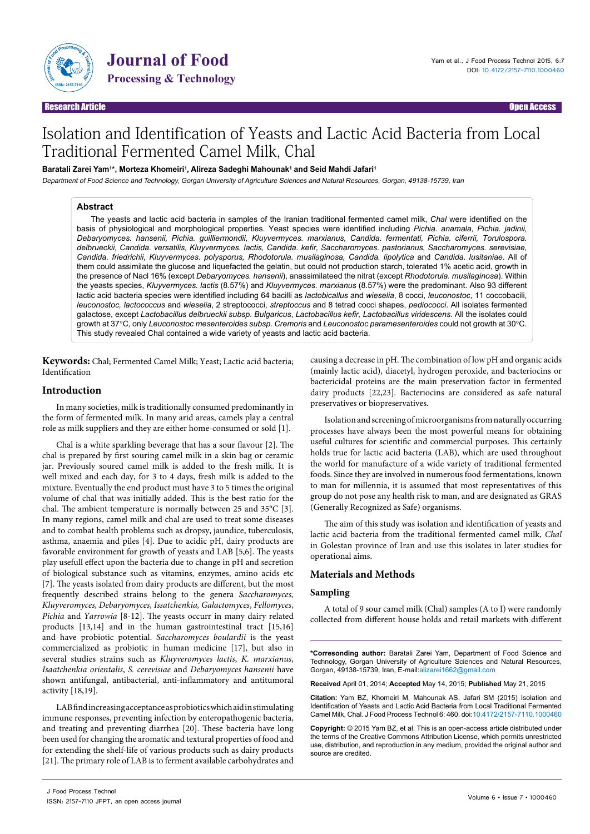

Journal of Food

## Research Article Open Access

# Isolation and Identification of Yeasts and Lactic Acid Bacteria from Local Traditional Fermented Camel Milk, Chal

#### Baratali Zarei Yam<sup>1</sup>\*, Morteza Khomeiri<sup>1</sup>, Alireza Sadeghi Mahounak<sup>1</sup> and Seid Mahdi Jafari<sup>1</sup>

Department of Food Science and Technology, Gorgan University of Agriculture Sciences and Natural Resources, Gorgan, 49138-15739, Iran

#### **Abstract**

The yeasts and lactic acid bacteria in samples of the Iranian traditional fermented camel milk, *Chal* were identified on the basis of physiological and morphological properties. Yeast species were identified including *Pichia. anamala, Pichia. jadinii, Debaryomyces. hansenii, Pichia. guilliermondii, Kluyvermyces. marxianus, Candida. fermentati, Pichia. ciferrii, Torulospora. delbrueckii, Candida. versatilis, Kluyvermyces. lactis, Candida. kefir, Saccharomyces. pastorianus, Saccharomyces. serevisiae, Candida. friedrichii, Kluyvermyces. polysporus, Rhodotorula. musilaginosa, Candida. lipolytica* and *Candida. lusitaniae*. All of them could assimilate the glucose and liquefacted the gelatin, but could not production starch, tolerated 1% acetic acid, growth in the presence of Nacl 16% (except *Debaryomyces. hansenii*), anassimilateed the nitrat (except *Rhodotorula. musilaginosa*). Within the yeasts species, *Kluyvermyces. lactis* (8.57%) and *Kluyvermyces. marxianus* (8.57%) were the predominant. Also 93 different lactic acid bacteria species were identified including 64 bacilli as *lactobicallus* and *wieselia*, 8 cocci, *leuconostoc*, 11 coccobacili, *leuconostoc, lactococcus* and *wieselia*, 2 streptococci, *streptoccus* and 8 tetrad cocci shapes, *pediococci*. All isolates fermented galactose, except *Lactobacillus delbrueckii subsp. Bulgaricus*, *Lactobacillus kefir, Lactobacillus viridescens.* All the isolates could growth at 37°C*,* only *Leuconostoc mesenteroides subsp. Cremoris* and *Leuconostoc paramesenteroides* could not growth at 30°C. This study revealed Chal contained a wide variety of yeasts and lactic acid bacteria.

**Keywords:** Chal; Fermented Camel Milk; Yeast; Lactic acid bacteria; Identification

## **Introduction**

In many societies, milk is traditionally consumed predominantly in the form of fermented milk. In many arid areas, camels play a central role as milk suppliers and they are either home-consumed or sold [1].

Chal is a white sparkling beverage that has a sour flavour [2]. The chal is prepared by first souring camel milk in a skin bag or ceramic jar. Previously soured camel milk is added to the fresh milk. It is well mixed and each day, for 3 to 4 days, fresh milk is added to the mixture. Eventually the end product must have 3 to 5 times the original volume of chal that was initially added. This is the best ratio for the chal. The ambient temperature is normally between 25 and 35°C [3]. In many regions, camel milk and chal are used to treat some diseases and to combat health problems such as dropsy, jaundice, tuberculosis, asthma, anaemia and piles [4]. Due to acidic pH, dairy products are favorable environment for growth of yeasts and LAB [5,6]. The yeasts play usefull effect upon the bacteria due to change in pH and secretion of biological substance such as vitamins, enzymes, amino acids etc [7]. The yeasts isolated from dairy products are different, but the most frequently described strains belong to the genera *Saccharomyces, Kluyveromyces, Debaryomyces, Issatchenkia, Galactomyces*, *Fellomyces*, *Pichia* and *Yarrowia* [8-12]. The yeasts occurr in many dairy related products [13,14] and in the human gastrointestinal tract [15,16] and have probiotic potential. *Saccharomyces boulardii* is the yeast commercialized as probiotic in human medicine [17], but also in several studies strains such as *Kluyveromyces lactis*, *K. marxianus*, *Isaatchenkia orientalis*, *S. cerevisiae* and *Debaryomyces hansenii* have shown antifungal, antibacterial, anti-inflammatory and antitumoral activity [18,19].

LAB find increasing acceptance as probiotics which aid in stimulating immune responses, preventing infection by enteropathogenic bacteria, and treating and preventing diarrhea [20]. These bacteria have long been used for changing the aromatic and textural properties of food and for extending the shelf-life of various products such as dairy products [21]. The primary role of LAB is to ferment available carbohydrates and causing a decrease in pH. The combination of low pH and organic acids (mainly lactic acid), diacetyl, hydrogen peroxide, and bacteriocins or bactericidal proteins are the main preservation factor in fermented dairy products [22,23]. Bacteriocins are considered as safe natural preservatives or biopreservatives.

Isolation and screening of microorganisms from naturally occurring processes have always been the most powerful means for obtaining useful cultures for scientific and commercial purposes. This certainly holds true for lactic acid bacteria (LAB), which are used throughout the world for manufacture of a wide variety of traditional fermented foods. Since they are involved in numerous food fermentations, known to man for millennia, it is assumed that most representatives of this group do not pose any health risk to man, and are designated as GRAS (Generally Recognized as Safe) organisms.

The aim of this study was isolation and identification of yeasts and lactic acid bacteria from the traditional fermented camel milk, *Chal* in Golestan province of Iran and use this isolates in later studies for operational aims.

# **Materials and Methods**

## **Sampling**

A total of 9 sour camel milk (Chal) samples (A to I) were randomly collected from different house holds and retail markets with different

**\*Corresonding author:** Baratali Zarei Yam, Department of Food Science and Technology, Gorgan University of Agriculture Sciences and Natural Resources, Gorgan, 49138-15739, Iran, E-mail:alizarei1662@gmail.com

**Received** April 01, 2014; **Accepted** May 14, 2015; **Published** May 21, 2015

**Citation:** Yam BZ, Khomeiri M, Mahounak AS, Jafari SM (2015) Isolation and Identification of Yeasts and Lactic Acid Bacteria from Local Traditional Fermented Camel Milk, Chal. J Food Process Technol 6: 460. doi:10.4172/2157-7110.1000460

**Copyright:** © 2015 Yam BZ, et al. This is an open-access article distributed under the terms of the Creative Commons Attribution License, which permits unrestricted use, distribution, and reproduction in any medium, provided the original author and source are credited.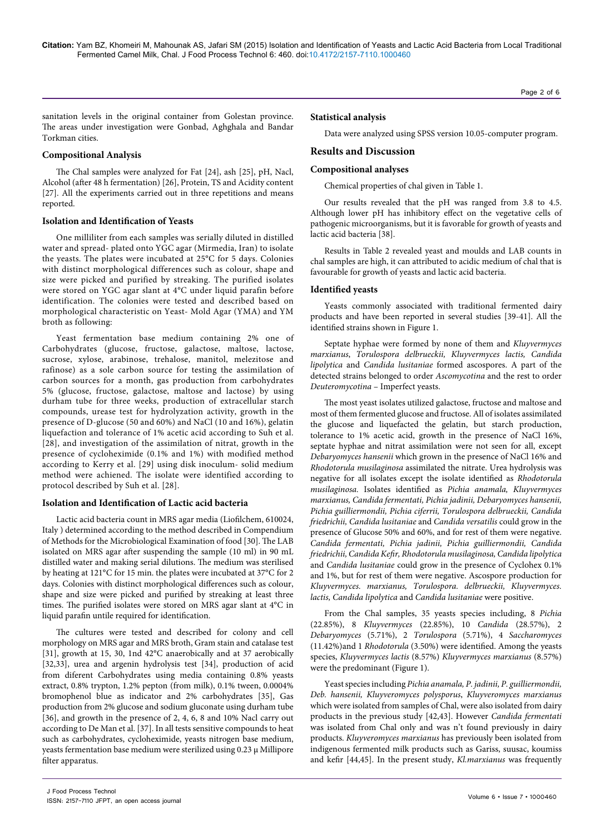sanitation levels in the original container from Golestan province. The areas under investigation were Gonbad, Aghghala and Bandar Torkman cities.

#### **Compositional Analysis**

The Chal samples were analyzed for Fat [24], ash [25], pH, Nacl, Alcohol (after 48 h fermentation) [26], Protein, TS and Acidity content [27]. All the experiments carried out in three repetitions and means reported.

#### **Isolation and Identification of Yeasts**

One milliliter from each samples was serially diluted in distilled water and spread- plated onto YGC agar (Mirmedia, Iran) to isolate the yeasts. The plates were incubated at 25°C for 5 days. Colonies with distinct morphological differences such as colour, shape and size were picked and purified by streaking. The purified isolates were stored on YGC agar slant at 4°C under liquid parafin before identification. The colonies were tested and described based on morphological characteristic on Yeast- Mold Agar (YMA) and YM broth as following:

Yeast fermentation base medium containing 2% one of Carbohydrates (glucose, fructose, galactose, maltose, lactose, sucrose, xylose, arabinose, trehalose, manitol, melezitose and rafinose) as a sole carbon source for testing the assimilation of carbon sources for a month, gas production from carbohydrates 5% (glucose, fructose, galactose, maltose and lactose) by using durham tube for three weeks, production of extracellular starch compounds, urease test for hydrolyzation activity, growth in the presence of D-glucose (50 and 60%) and NaCl (10 and 16%), gelatin liquefaction and tolerance of 1% acetic acid according to Suh et al. [28], and investigation of the assimilation of nitrat, growth in the presence of cycloheximide (0.1% and 1%) with modified method according to Kerry et al. [29] using disk inoculum- solid medium method were achiened. The isolate were identified according to protocol described by Suh et al. [28].

# **Isolation and Identification of Lactic acid bacteria**

Lactic acid bacteria count in MRS agar media (Liofilchem, 610024, Italy ) determined according to the method described in Compendium of Methods for the Microbiological Examination of food [30]. The LAB isolated on MRS agar after suspending the sample (10 ml) in 90 mL distilled water and making serial dilutions. The medium was sterilised by heating at 121°C for 15 min. the plates were incubated at 37°C for 2 days. Colonies with distinct morphological differences such as colour, shape and size were picked and purified by streaking at least three times. The purified isolates were stored on MRS agar slant at 4°C in liquid parafin untile required for identification.

The cultures were tested and described for colony and cell morphology on MRS agar and MRS broth, Gram stain and catalase test [31], growth at 15, 30, 1nd 42°C anaerobically and at 37 aerobically [32,33], urea and argenin hydrolysis test [34], production of acid from diferent Carbohydrates using media containing 0.8% yeasts extract, 0.8% trypton, 1.2% pepton (from milk), 0.1% tween, 0.0004% bromophenol blue as indicator and 2% carbohydrates [35], Gas production from 2% glucose and sodium gluconate using durham tube [36], and growth in the presence of 2, 4, 6, 8 and 10% Nacl carry out according to De Man et al. [37]. In all tests sensitive compounds to heat such as carbohydrates, cycloheximide, yeasts nitrogen base medium, yeasts fermentation base medium were sterilized using  $0.23 \mu$  Millipore filter apparatus.

# **Statistical analysis**

Data were analyzed using SPSS version 10.05-computer program.

# **Results and Discussion**

# **Compositional analyses**

Chemical properties of chal given in Table 1.

Our results revealed that the pH was ranged from 3.8 to 4.5. Although lower pH has inhibitory effect on the vegetative cells of pathogenic microorganisms, but it is favorable for growth of yeasts and lactic acid bacteria [38].

Results in Table 2 revealed yeast and moulds and LAB counts in chal samples are high, it can attributed to acidic medium of chal that is favourable for growth of yeasts and lactic acid bacteria.

#### **Identified yeasts**

Yeasts commonly associated with traditional fermented dairy products and have been reported in several studies [39-41]. All the identified strains shown in Figure 1.

Septate hyphae were formed by none of them and *Kluyvermyces marxianus*, *Torulospora delbrueckii, Kluyvermyces lactis, Candida lipolytica* and *Candida lusitaniae* formed ascospores. A part of the detected strains belonged to order *Ascomycotina* and the rest to order *Deuteromycotina* – Imperfect yeasts.

The most yeast isolates utilized galactose, fructose and maltose and most of them fermented glucose and fructose. All of isolates assimilated the glucose and liquefacted the gelatin, but starch production, tolerance to 1% acetic acid, growth in the presence of NaCl 16%, septate hyphae and nitrat assimilation were not seen for all, except *Debaryomyces hansenii* which grown in the presence of NaCl 16% and *Rhodotorula musilaginosa* assimilated the nitrate. Urea hydrolysis was negative for all isolates except the isolate identified as *Rhodotorula musilaginosa.* Isolates identified as *Pichia anamala, Kluyvermyces marxianus, Candida fermentati, Pichia jadinii, Debaryomyces hansenii, Pichia guilliermondii, Pichia ciferrii, Torulospora delbrueckii, Candida friedrichii, Candida lusitaniae* and *Candida versatilis* could grow in the presence of Glucose 50% and 60%, and for rest of them were negative. *Candida fermentati, Pichia jadinii, Pichia guilliermondii, Candida friedrichii, Candida Kefir, Rhodotorula musilaginosa, Candida lipolytica*  and *Candida lusitaniae* could grow in the presence of Cyclohex 0.1% and 1%, but for rest of them were negative. Ascospore production for *Kluyvermyces. marxianus, Torulospora. delbrueckii, Kluyvermyces. lactis, Candida lipolytica* and *Candida lusitaniae* were positive.

From the Chal samples, 35 yeasts species including, 8 *Pichia* (22.85%), 8 *Kluyvermyces* (22.85%), 10 *Candida* (28.57%), 2 *Debaryomyces* (5.71%), 2 *Torulospora* (5.71%), 4 *Saccharomyces* (11.42%)and 1 *Rhodotorula* (3.50%) were identified. Among the yeasts species, *Kluyvermyces lactis* (8.57%) *Kluyvermyces marxianus* (8.57%) were the predominant (Figure 1).

Yeast species including *Pichia anamala, P. jadinii, P. guilliermondii, Deb. hansenii, Kluyveromyces polysporus*, *Kluyveromyces marxianus* which were isolated from samples of Chal, were also isolated from dairy products in the previous study [42,43]. However *Candida fermentati*  was isolated from Chal only and was n't found previously in dairy products. *Kluyveromyces marxianus* has previously been isolated from indigenous fermented milk products such as Gariss, suusac, koumiss and kefir [44,45]. In the present study, *Kl.marxianus* was frequently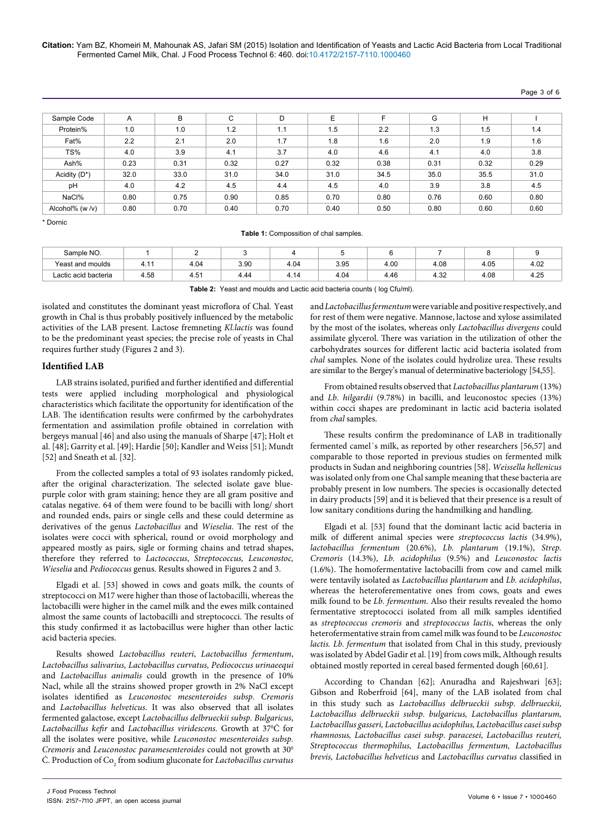| Pane | -51 | ot : | n |
|------|-----|------|---|
|------|-----|------|---|

| Sample Code        | A    | B    | C    | D    | E    |      | G    | H    |      |
|--------------------|------|------|------|------|------|------|------|------|------|
| Protein%           | 1.0  | 1.0  | 1.2  | 1.1  | 1.5  | 2.2  | 1.3  | 1.5  | 1.4  |
| Fat%               | 2.2  | 2.1  | 2.0  | 1.7  | 1.8  | 1.6  | 2.0  | 1.9  | 1.6  |
| TS%                | 4.0  | 3.9  | 4.1  | 3.7  | 4.0  | 4.6  | 4.1  | 4.0  | 3.8  |
| Ash%               | 0.23 | 0.31 | 0.32 | 0.27 | 0.32 | 0.38 | 0.31 | 0.32 | 0.29 |
| Acidity (D*)       | 32.0 | 33.0 | 31.0 | 34.0 | 31.0 | 34.5 | 35.0 | 35.5 | 31.0 |
| pH                 | 4.0  | 4.2  | 4.5  | 4.4  | 4.5  | 4.0  | 3.9  | 3.8  | 4.5  |
| NaCl%              | 0.80 | 0.75 | 0.90 | 0.85 | 0.70 | 0.80 | 0.76 | 0.60 | 0.80 |
| Alcohol% (w $/v$ ) | 0.80 | 0.70 | 0.40 | 0.70 | 0.40 | 0.50 | 0.80 | 0.60 | 0.60 |

\* Dornic

| Table 1: Compossition of chal samples. |  |
|----------------------------------------|--|
|----------------------------------------|--|

| Sample NO.           |      |      |      |       |      |      |      |      |      |
|----------------------|------|------|------|-------|------|------|------|------|------|
| Yeast and moulds     | T. I | 4.04 | 3.90 | 4.04  | 3.95 | 4.00 | 4.08 | 4.05 | 4.02 |
| Lactic acid bacteria | 4.58 | 4.51 | 4.44 | $+14$ | 4.04 | 4.46 | 4.32 | 4.08 | 4.25 |
|                      |      |      |      |       |      |      |      |      |      |

**Table 2:** Yeast and moulds and Lactic acid bacteria counts ( log Cfu/ml).

isolated and constitutes the dominant yeast microflora of Chal. Yeast growth in Chal is thus probably positively influenced by the metabolic activities of the LAB present. Lactose fremneting *Kl.lactis* was found to be the predominant yeast species; the precise role of yeasts in Chal requires further study (Figures 2 and 3).

#### **Identified LAB**

LAB strains isolated, purified and further identified and differential tests were applied including morphological and physiological characteristics which facilitate the opportunity for identification of the LAB. The identification results were confirmed by the carbohydrates fermentation and assimilation profile obtained in correlation with bergeys manual [46] and also using the manuals of Sharpe [47]; Holt et al. [48]; Garrity et al. [49]; Hardie [50]; Kandler and Weiss [51]; Mundt [52] and Sneath et al. [32].

From the collected samples a total of 93 isolates randomly picked, after the original characterization. The selected isolate gave bluepurple color with gram staining; hence they are all gram positive and catalas negative. 64 of them were found to be bacilli with long/ short and rounded ends, pairs or single cells and these could determine as derivatives of the genus *Lactobacillus* and *Wieselia*. The rest of the isolates were cocci with spherical, round or ovoid morphology and appeared mostly as pairs, sigle or forming chains and tetrad shapes, therefore they referred to *Lactococcus*, *Streptococcus, Leuconostoc, Wieselia* and *Pediococcus* genus. Results showed in Figures 2 and 3.

Elgadi et al. [53] showed in cows and goats milk, the counts of streptococci on M17 were higher than those of lactobacilli, whereas the lactobacilli were higher in the camel milk and the ewes milk contained almost the same counts of lactobacilli and streptococci. The results of this study confirmed it as lactobacillus were higher than other lactic acid bacteria species.

Results showed *Lactobacillus reuteri*, *Lactobacillus fermentum*, *Lactobacillus salivarius, Lactobacillus curvatus, Pediococcus urinaeequi*  and *Lactobacillus animalis* could growth in the presence of 10% Nacl, while all the strains showed proper growth in 2% NaCl except isolates identified as *Leuconostoc mesenteroides subsp. Cremoris* and *Lactobacillus helveticus*. It was also observed that all isolates fermented galactose, except *Lactobacillus delbrueckii subsp. Bulgaricus*, *Lactobacillus kefir* and *Lactobacillus viridescens.* Growth at 370 Ċ for all the isolates were positive, while *Leuconostoc mesenteroides subsp. Cremoris* and *Leuconostoc paramesenteroides* could not growth at 30<sup>0</sup> C. Production of Co<sub>2</sub> from sodium gluconate for *Lactobacillus curvatus* 

and *Lactobacillus fermentum* were variable and positive respectively, and for rest of them were negative. Mannose, lactose and xylose assimilated by the most of the isolates, whereas only *Lactobacillus divergens* could assimilate glycerol. There was variation in the utilization of other the carbohydrates sources for different lactic acid bacteria isolated from *chal* samples. None of the isolates could hydrolize urea. These results are similar to the Bergey's manual of determinative bacteriology [54,55].

From obtained results observed that *Lactobacillus plantarum* (13%) and *Lb. hilgardii* (9.78%) in bacilli, and leuconostoc species (13%) within cocci shapes are predominant in lactic acid bacteria isolated from *chal* samples.

These results confirm the predominance of LAB in traditionally fermented camel´s milk, as reported by other researchers [56,57] and comparable to those reported in previous studies on fermented milk products in Sudan and neighboring countries [58]. *Weissella hellenicus* was isolated only from one Chal sample meaning that these bacteria are probably present in low numbers. The species is occasionally detected in dairy products [59] and it is believed that their presence is a result of low sanitary conditions during the handmilking and handling.

Elgadi et al. [53] found that the dominant lactic acid bacteria in milk of different animal species were *streptococcus lactis* (34.9%), *lactobacillus fermentum* (20.6%), *Lb. plantarum* (19.1%), *Strep. Cremoris* (14.3%), *Lb. acidophilus* (9.5%) and *Leuconostoc lactis* (1.6%). The homofermentative lactobacilli from cow and camel milk were tentavily isolated as *Lactobacillus plantarum* and *Lb. acidophilus*, whereas the heteroferementative ones from cows, goats and ewes milk found to be *Lb. fermentum*. Also their results revealed the homo fermentative streptococci isolated from all milk samples identified as *streptococcus cremoris* and *streptococcus lactis*, whereas the only heterofermentative strain from camel milk was found to be *Leuconostoc lactis. Lb. fermentum* that isolated from Chal in this study, previously was isolated by Abdel Gadir et al. [19] from cows milk, Although results obtained mostly reported in cereal based fermented dough [60,61].

According to Chandan [62]; Anuradha and Rajeshwari [63]; Gibson and Roberfroid [64], many of the LAB isolated from chal in this study such as *Lactobacillus delbrueckii subsp. delbrueckii, Lactobacillus delbrueckii subsp. bulgaricus, Lactobacillus plantarum, Lactobacillus gasseri, Lactobacillus acidophilus, Lactobacillus casei subsp rhamnosus, Lactobacillus casei subsp. paracesei, Lactobacillus reuteri, Streptococcus thermophilus, Lactobacillus fermentum, Lactobacillus brevis, Lactobacillus helveticus* and *Lactobacillus curvatus* classified in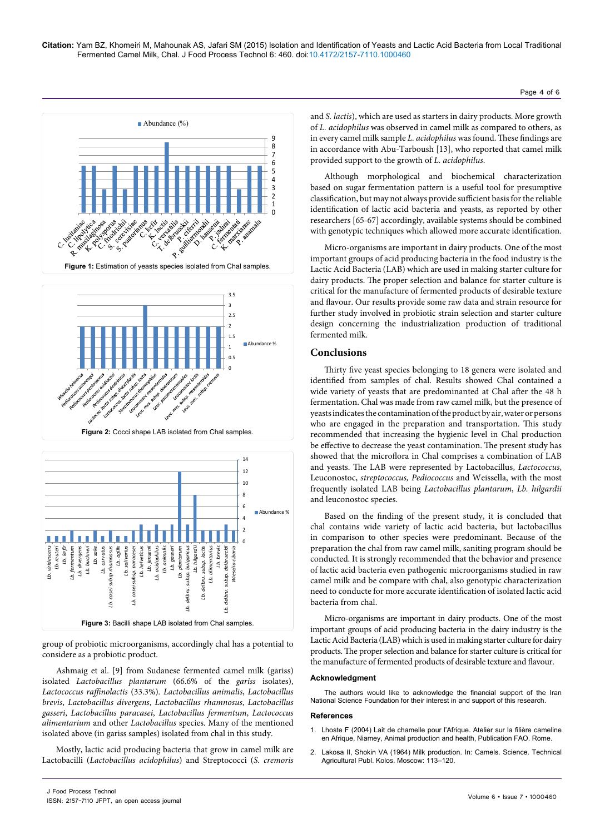





group of probiotic microorganisms, accordingly chal has a potential to considere as a probiotic product.

Ashmaig et al. [9] from Sudanese fermented camel milk (gariss) isolated *Lactobacillus plantarum* (66.6% of the *gariss* isolates), *Lactococcus raffinolactis* (33.3%)*. Lactobacillus animalis*, *Lactobacillus brevis*, *Lactobacillus divergens*, *Lactobacillus rhamnosus*, *Lactobacillus gasseri*, *Lactobacillus paracasei*, *Lactobacillus fermentum*, *Lactococcus alimentarium* and other *Lactobacillus* species. Many of the mentioned isolated above (in gariss samples) isolated from chal in this study.

Mostly, lactic acid producing bacteria that grow in camel milk are Lactobacilli (*Lactobacillus acidophilus*) and Streptococci (*S. cremoris* and *S. lactis*), which are used as starters in dairy products. More growth of *L. acidophilus* was observed in camel milk as compared to others, as in every camel milk sample *L. acidophilus* was found. These findings are in accordance with Abu-Tarboush [13], who reported that camel milk provided support to the growth of *L. acidophilus*.

Page 4 of 6

Although morphological and biochemical characterization based on sugar fermentation pattern is a useful tool for presumptive classification, but may not always provide sufficient basis for the reliable identification of lactic acid bacteria and yeasts, as reported by other researchers [65-67] accordingly, available systems should be combined with genotypic techniques which allowed more accurate identification.

Micro-organisms are important in dairy products. One of the most important groups of acid producing bacteria in the food industry is the Lactic Acid Bacteria (LAB) which are used in making starter culture for dairy products. The proper selection and balance for starter culture is critical for the manufacture of fermented products of desirable texture and flavour. Our results provide some raw data and strain resource for further study involved in probiotic strain selection and starter culture design concerning the industrialization production of traditional fermented milk.

# **Conclusions**

Thirty five yeast species belonging to 18 genera were isolated and identified from samples of chal. Results showed Chal contained a wide variety of yeasts that are predominanted at Chal after the 48 h fermentation. Chal was made from raw camel milk, but the presence of yeasts indicates the contamination of the product by air, water or persons who are engaged in the preparation and transportation. This study recommended that increasing the hygienic level in Chal production be effective to decrease the yeast contamination. The present study has showed that the microflora in Chal comprises a combination of LAB and yeasts. The LAB were represented by Lactobacillus, *Lactococcus*, Leuconostoc, *streptococcus, Pediococcus* and Weissella, with the most frequently isolated LAB being *Lactobacillus plantarum*, *Lb. hilgardii* and leuconostoc species.

Based on the finding of the present study, it is concluded that chal contains wide variety of lactic acid bacteria, but lactobacillus in comparison to other species were predominant. Because of the preparation the chal from raw camel milk, saniting program should be conducted. It is strongly recommended that the behavior and presence of lactic acid bacteria even pathogenic microorganisms studied in raw camel milk and be compare with chal, also genotypic characterization need to conducte for more accurate identification of isolated lactic acid bacteria from chal.

Micro-organisms are important in dairy products. One of the most important groups of acid producing bacteria in the dairy industry is the Lactic Acid Bacteria (LAB) which is used in making starter culture for dairy products. The proper selection and balance for starter culture is critical for the manufacture of fermented products of desirable texture and flavour.

#### **Acknowledgment**

The authors would like to acknowledge the financial support of the Iran National Science Foundation for their interest in and support of this research.

#### **References**

- 1. [Lhoste F \(2004\) Lait de chamelle pour l'Afrique. Atelier sur la filière cameline](http://www.fao.org/docrep/010/aj038f/aj038f00.htm)  [en Afrique, Niamey, Animal production and health, Publication FAO. Rome.](http://www.fao.org/docrep/010/aj038f/aj038f00.htm)
- 2. Lakosa II, Shokin VA (1964) Milk production. In: Camels. Science. Technical Agricultural Publ. Kolos. Moscow: 113–120.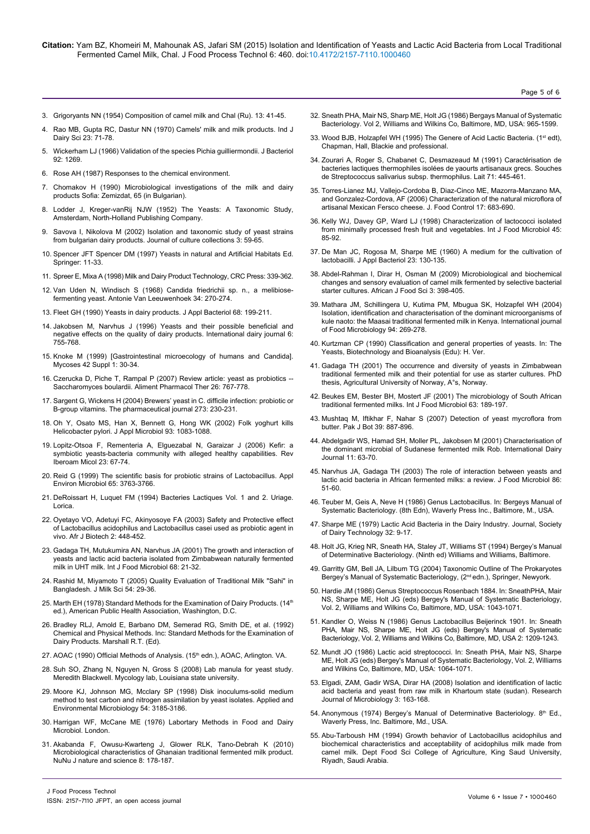- 3. Grigoryants NN (1954) Composition of camel milk and Chal (Ru). 13: 41-45.
- 4. Rao MB, Gupta RC, Dastur NN (1970) Camels' milk and milk products. Ind J Dairy Sci 23: 71-78.
- 5. [Wickerham LJ \(1966\) Validation of the species Pichia guilliermondii. J Bacteriol](http://www.ncbi.nlm.nih.gov/pmc/articles/PMC276410/) [92: 1269.](http://www.ncbi.nlm.nih.gov/pmc/articles/PMC276410/)
- 6. Rose AH (1987) Responses to the chemical environment.
- 7. Chomakov H (1990) Microbiological investigations of the milk and dairy products Sofia: Zemizdat, 65 (in Bulgarian).
- 8. Lodder J, Kreger-vanRij NJW (1952) The Yeasts: A Taxonomic Study, Amsterdam, North-Holland Publishing Company.
- 9. [Savova I, Nikolova M \(2002\) Isolation and taxonomic study of yeast strains](http://www.bioline.org.br/request?cc02009) [from bulgarian dairy products. Journal of culture collections 3: 59-65.](http://www.bioline.org.br/request?cc02009)
- 10. [Spencer JFT Spencer DM \(1997\) Yeasts in natural and Artificial Habitats Ed.](http://www.amazon.com/Milk-Dairy-Product-Technology-Science/dp/0824700945) [Springer: 11-33.](http://www.amazon.com/Milk-Dairy-Product-Technology-Science/dp/0824700945)
- 11. [Spreer E, Mixa A \(1998\) Milk and Dairy Product Technology, CRC Press: 339-362.](https://www.crcpress.com/product/isbn/9780824700942)
- 12. [Van Uden N, Windisch S \(1968\) Candida friedrichii sp. n., a melibiose](http://www.ncbi.nlm.nih.gov/pubmed/5305781)[fermenting yeast. Antonie Van Leeuwenhoek 34: 270-274.](http://www.ncbi.nlm.nih.gov/pubmed/5305781)
- 13. [Fleet GH \(1990\) Yeasts in dairy products. J Appl Bacteriol 68: 199-211.](http://www.ncbi.nlm.nih.gov/pubmed/2187843)
- 14. [Jakobsen M, Narvhus J \(1996\) Yeasts and their possible beneficial and](http://www.sciencedirect.com/science/article/pii/0958694695000712) [negative effects on the quality of dairy products. International dairy journal 6:](http://www.sciencedirect.com/science/article/pii/0958694695000712) [755-768.](http://www.sciencedirect.com/science/article/pii/0958694695000712)
- 15. [Knoke M \(1999\) \[Gastrointestinal microecology of humans and Candida\].](http://www.ncbi.nlm.nih.gov/pubmed/10592712) [Mycoses 42 Suppl 1: 30-34.](http://www.ncbi.nlm.nih.gov/pubmed/10592712)
- 16. [Czerucka D, Piche T, Rampal P \(2007\) Review article: yeast as probiotics --](http://www.ncbi.nlm.nih.gov/pubmed/17767461) [Saccharomyces boulardii. Aliment Pharmacol Ther 26: 767-778.](http://www.ncbi.nlm.nih.gov/pubmed/17767461)
- 17. [Sargent G, Wickens H \(2004\) Brewers' yeast in C. difficile infection: probiotic or](http://www.bioline.org.br/request?cc02009) [B-group vitamins. The pharmaceutical journal 273: 230-231.](http://www.bioline.org.br/request?cc02009)
- 18. [Oh Y, Osato MS, Han X, Bennett G, Hong WK \(2002\) Folk yoghurt kills](http://www.ncbi.nlm.nih.gov/pubmed/12452966) [Helicobacter pylori. J Appl Microbiol 93: 1083-1088.](http://www.ncbi.nlm.nih.gov/pubmed/12452966)
- 19. [Lopitz-Otsoa F, Rementeria A, Elguezabal N, Garaizar J \(2006\) Kefir: a](http://www.ncbi.nlm.nih.gov/pubmed/16854180) [symbiotic yeasts-bacteria community with alleged healthy capabilities. Rev](http://www.ncbi.nlm.nih.gov/pubmed/16854180) [Iberoam Micol 23: 67-74.](http://www.ncbi.nlm.nih.gov/pubmed/16854180)
- 20. [Reid G \(1999\) The scientific basis for probiotic strains of Lactobacillus. Appl](http://aem.asm.org/content/65/9/3763.full) [Environ Microbiol 65: 3763-3766.](http://aem.asm.org/content/65/9/3763.full)
- 21. DeRoissart H, Luquet FM (1994) Bacteries Lactiques Vol. 1 and 2. Uriage. Lorica.
- 22. [Oyetayo VO, Adetuyi FC, Akinyosoye FA \(2003\) Safety and Protective effect](https://tspace.library.utoronto.ca/handle/1807/1520) [of Lactobacillus acidophilus and Lactobacillus casei used as probiotic agent in](https://tspace.library.utoronto.ca/handle/1807/1520) [vivo. Afr J Biotech 2: 448-452.](https://tspace.library.utoronto.ca/handle/1807/1520)
- 23. [Gadaga TH, Mutukumira AN, Narvhus JA \(2001\) The growth and interaction of](http://www.ncbi.nlm.nih.gov/pubmed/11545217) [yeasts and lactic acid bacteria isolated from Zimbabwean naturally fermented](http://www.ncbi.nlm.nih.gov/pubmed/11545217) [milk in UHT milk. Int J Food Microbiol 68: 21-32.](http://www.ncbi.nlm.nih.gov/pubmed/11545217)
- 24. Rashid M, Miyamoto T (2005) Quality Evaluation of Traditional Milk "Sahi" in Bangladesh. J Milk Sci 54: 29-36.
- 25. Marth EH (1978) Standard Methods for the Examination of Dairy Products. (14<sup>th</sup>) ed.), American Public Health Association, Washington, D.C.
- 26. Bradley RLJ, Amold E, Barbano DM, Semerad RG, Smith DE, et al. (1992) Chemical and Physical Methods. Inc: Standard Methods for the Examination of Dairy Products. Marshall R.T. (Ed).
- 27. [AOAC \(1990\) Official Methods of Analysis. \(15](http://www.aoac.org/imis15_prod/AOAC_Docs/Flyers/AOAC_OMA_flyer.pdf)<sup>th</sup> edn.), AOAC, Arlington. VA.
- 28. [Suh SO, Zhang N, Nguyen N, Gross S \(2008\) Lab manula for yeast study.](https://www.yumpu.com/en/document/view/13817398/lab-manual-for-yeast-study-mycology-at-lsu-louisiana-state-) [Meredith Blackwell. Mycology lab, Louisiana state university.](https://www.yumpu.com/en/document/view/13817398/lab-manual-for-yeast-study-mycology-at-lsu-louisiana-state-)
- 29. [Moore KJ, Johnson MG, Mcclary SP \(1998\) Disk inoculums-solid medium](http://www.ncbi.nlm.nih.gov/pmc/articles/PMC204450/) [method to test carbon and nitrogen assimilation by yeast isolates. Applied and](http://www.ncbi.nlm.nih.gov/pmc/articles/PMC204450/) [Environmental Microbiology 54: 3185-3186.](http://www.ncbi.nlm.nih.gov/pmc/articles/PMC204450/)
- 30. Harrigan WF, McCane ME (1976) Labortary Methods in Food and Dairy Microbiol. London.
- 31. [Akabanda F, Owusu-Kwarteng J, Glower RLK, Tano-Debrah K \(2010\)](http://www.sciencepub.net/nature/ns0809/23_3095_ns0809_178_187.pdf) [Microbiological characteristics of Ghanaian traditional fermented milk product.](http://www.sciencepub.net/nature/ns0809/23_3095_ns0809_178_187.pdf) [NuNu J nature and science 8: 178-187.](http://www.sciencepub.net/nature/ns0809/23_3095_ns0809_178_187.pdf)
- 32. Sneath PHA, Mair NS, Sharp ME, Holt JG (1986) Bergays Manual of Systematic Bacteriology. Vol 2, Williams and Wilkins Co, Baltimore, MD, USA: 965-1599.
- 33. [Wood BJB, Holzapfel WH \(1995\) The Genere of Acid Lactic Bacteria. \(1](http://link.springer.com/book/10.1007%2F978-1-4615-5817-0)st edt), [Chapman, Hall, Blackie and professional.](http://link.springer.com/book/10.1007%2F978-1-4615-5817-0)
- 34. [Zourari A, Roger S, Chabanet C, Desmazeaud M \(1991\) Caractérisation de](http://www.researchgate.net/publication/248856356_Caractrisation_de_bactries_lactiques_thermophiles_isoles_de_yaourts_artisanaux_grecs._I._Souches_de_Streptococcus_salivarius_subsp_thermophilus)  [bacteries lactiques thermophiles isolées de yaourts artisanaux grecs. Souches](http://www.researchgate.net/publication/248856356_Caractrisation_de_bactries_lactiques_thermophiles_isoles_de_yaourts_artisanaux_grecs._I._Souches_de_Streptococcus_salivarius_subsp_thermophilus)  [de Streptococcus salivarius subsp. thermophilus. Lait 71: 445-461.](http://www.researchgate.net/publication/248856356_Caractrisation_de_bactries_lactiques_thermophiles_isoles_de_yaourts_artisanaux_grecs._I._Souches_de_Streptococcus_salivarius_subsp_thermophilus)
- 35. [Torres-Lianez MJ, Vallejo-Cordoba B, Diaz-Cinco ME, Mazorra-Manzano MA,](http://www.sciencedirect.com/science/article/pii/S0956713505000940)  [and Gonzalez-Cordova, AF \(2006\) Characterization of the natural microflora of](http://www.sciencedirect.com/science/article/pii/S0956713505000940)  [artisanal Mexican Fersco cheese. J. Food Control 17: 683-690.](http://www.sciencedirect.com/science/article/pii/S0956713505000940)
- 36. [Kelly WJ, Davey GP, Ward LJ \(1998\) Characterization of lactococci isolated](http://www.ncbi.nlm.nih.gov/pubmed/9924939)  [from minimally processed fresh fruit and vegetables. Int J Food Microbiol 45:](http://www.ncbi.nlm.nih.gov/pubmed/9924939)  [85-92.](http://www.ncbi.nlm.nih.gov/pubmed/9924939)
- 37. [De Man JC, Rogosa M, Sharpe ME \(1960\) A medium for the cultivation of](http://onlinelibrary.wiley.com/doi/10.1111/j.1365-2672.1960.tb00188.x/abstract)  [lactobacilli. J Appl Bacteriol 23: 130-135.](http://onlinelibrary.wiley.com/doi/10.1111/j.1365-2672.1960.tb00188.x/abstract)
- 38. [Abdel-Rahman I, Dirar H, Osman M \(2009\) Microbiological and biochemical](http://www.academicjournals.org/article/article1380643253_Rahman et al.pdf)  [changes and sensory evaluation of camel milk fermented by selective bacterial](http://www.academicjournals.org/article/article1380643253_Rahman et al.pdf)  [starter cultures. African J Food Sci 3: 398-405.](http://www.academicjournals.org/article/article1380643253_Rahman et al.pdf)
- 39. [Mathara JM, Schillingera U, Kutima PM, Mbugua SK, Holzapfel WH \(2004\)](http://www.sciencedirect.com/science/article/pii/S0168160504000716)  [Isolation, identification and characterisation of the dominant microorganisms of](http://www.sciencedirect.com/science/article/pii/S0168160504000716)  [kule naoto: the Maasai traditional fermented milk in Kenya. International journal](http://www.sciencedirect.com/science/article/pii/S0168160504000716)  [of Food Microbiology 94: 269-278.](http://www.sciencedirect.com/science/article/pii/S0168160504000716)
- 40. Kurtzman CP (1990) Classification and general properties of yeasts. In: The Yeasts, Biotechnology and Bioanalysis (Edu): H. Ver.
- 41. [Gadaga TH \(2001\) The occurrence and diversity of yeasts in Zimbabwean](http://www.cabdirect.org/abstracts/20013054313.html;jsessionid=3AE27CA4895A5D8FFA81FECAAC73D286)  [traditional fermented milk and their potential for use as starter cultures. PhD](http://www.cabdirect.org/abstracts/20013054313.html;jsessionid=3AE27CA4895A5D8FFA81FECAAC73D286)  [thesis, Agricultural University of Norway, A°s, Norway.](http://www.cabdirect.org/abstracts/20013054313.html;jsessionid=3AE27CA4895A5D8FFA81FECAAC73D286)
- 42. [Beukes EM, Bester BH, Mostert JF \(2001\) The microbiology of South African](http://www.ncbi.nlm.nih.gov/pubmed/11246902)  [traditional fermented milks. Int J Food Microbiol 63: 189-197.](http://www.ncbi.nlm.nih.gov/pubmed/11246902)
- 43. [Mushtaq M, Iftikhar F, Nahar S \(2007\) Detection of yeast mycroflora from](http://www.researchgate.net/profile/Muhammad_Mushtaq5/publication/261597646_DETECTION_OF_YEAST_MYCOFLORA_FROM_BUTTER_MUHAMMAD_MUSHTAQ_FAIZA-IFTIKHAR_*_AND_SHARFUN-NAHAR/links/0c960534ccf52d4d3d000000.pdf)  [butter. Pak J Bot 39: 887-896.](http://www.researchgate.net/profile/Muhammad_Mushtaq5/publication/261597646_DETECTION_OF_YEAST_MYCOFLORA_FROM_BUTTER_MUHAMMAD_MUSHTAQ_FAIZA-IFTIKHAR_*_AND_SHARFUN-NAHAR/links/0c960534ccf52d4d3d000000.pdf)
- 44. [Abdelgadir WS, Hamad SH, Moller PL, Jakobsen M \(2001\) Characterisation of](http://www.researchgate.net/publication/216626860_Characterisation_of_the_dominant_microbiota_of_Sudanese_fermented_milk_Rob)  [the dominant microbial of Sudanese fermented milk Rob. International Dairy](http://www.researchgate.net/publication/216626860_Characterisation_of_the_dominant_microbiota_of_Sudanese_fermented_milk_Rob)  [Journal 11: 63-70.](http://www.researchgate.net/publication/216626860_Characterisation_of_the_dominant_microbiota_of_Sudanese_fermented_milk_Rob)
- 45. [Narvhus JA, Gadaga TH \(2003\) The role of interaction between yeasts and](http://www.ncbi.nlm.nih.gov/pubmed/12892921)  [lactic acid bacteria in African fermented milks: a review. J Food Microbiol 86:](http://www.ncbi.nlm.nih.gov/pubmed/12892921)  [51-60.](http://www.ncbi.nlm.nih.gov/pubmed/12892921)
- 46. Teuber M, Geis A, Neve H (1986) Genus Lactobacillus. In: Bergeys Manual of Systematic Bacteriology. (8th Edn), Waverly Press Inc., Baltimore, M., USA.
- 47. [Sharpe ME \(1979\) Lactic Acid Bacteria in the Dairy Industry. Journal, Society](http://onlinelibrary.wiley.com/doi/10.1111/j.1471-0307.1979.tb01402.x/abstract)  [of Dairy Technology 32: 9-17.](http://onlinelibrary.wiley.com/doi/10.1111/j.1471-0307.1979.tb01402.x/abstract)
- 48. [Holt JG, Krieg NR, Sneath HA, Staley JT, Williams ST \(1994\) Bergey's Manual](http://www.amazon.com/Bergeys-Manual-Determinative-Bacteriology-John/dp/0683006037)  [of Determinative Bacteriology. \(Ninth ed\) Williams and Williams, Baltimore.](http://www.amazon.com/Bergeys-Manual-Determinative-Bacteriology-John/dp/0683006037)
- 49. [Garritty GM, Bell JA, Lilbum TG \(2004\) Taxonomic Outline of The Prokaryotes](http://www.bergeys.org/outlines/bergeysoutline_5_2004.pdf)  [Bergey's Manual of Systematic Bacteriology, \(2](http://www.bergeys.org/outlines/bergeysoutline_5_2004.pdf)<sup>nd</sup> edn.), Springer, Newyork.
- 50. Hardie JM (1986) Genus Streptococcus Rosenbach 1884. In: SneathPHA, Mair NS, Sharpe ME, Holt JG (eds) Bergey's Manual of Systematic Bacteriology, Vol. 2, Williams and Wilkins Co, Baltimore, MD, USA: 1043-1071.
- 51. Kandler O, Weiss N (1986) Genus Lactobacillus Beijerinck 1901. In: Sneath PHA, Mair NS, Sharpe ME, Holt JG (eds) Bergey's Manual of Systematic Bacteriology, Vol. 2, Williams and Wilkins Co, Baltimore, MD, USA 2: 1209-1243.
- 52. Mundt JO (1986) Lactic acid streptococci. In: Sneath PHA, Mair NS, Sharpe ME, Holt JG (eds) Bergey's Manual of Systematic Bacteriology, Vol. 2, Williams and Wilkins Co, Baltimore, MD, USA: 1064-1071.
- 53. [Elgadi, ZAM, Gadir WSA, Dirar HA \(2008\) Isolation and identification of lactic](http://scialert.net/fulltext/?doi=jm.2008.163.168&org=10)  [acid bacteria and yeast from raw milk in Khartoum state \(sudan\). Research](http://scialert.net/fulltext/?doi=jm.2008.163.168&org=10)  [Journal of Microbiology 3: 163-168.](http://scialert.net/fulltext/?doi=jm.2008.163.168&org=10)
- 54. Anonymous (1974) Bergey's Manual of Determinative Bacteriology. 8th Ed., Waverly Press, Inc. Baltimore, Md., USA.
- 55. Abu-Tarboush HM (1994) Growth behavior of Lactobacillus acidophilus and biochemical characteristics and acceptability of acidophilus milk made from camel milk. Dept Food Sci College of Agriculture, King Saud University, Riyadh, Saudi Arabia.